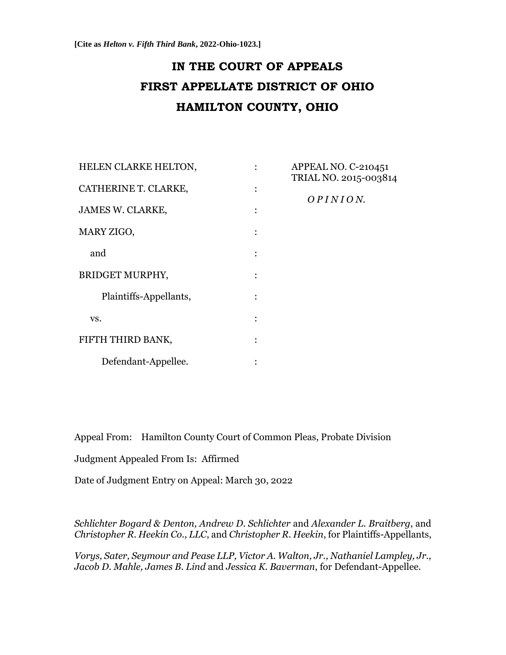# **IN THE COURT OF APPEALS FIRST APPELLATE DISTRICT OF OHIO HAMILTON COUNTY, OHIO**

| HELEN CLARKE HELTON,   | APPEAL NO. C-210451<br>TRIAL NO. 2015-003814 |
|------------------------|----------------------------------------------|
| CATHERINE T. CLARKE,   | OPINION.                                     |
| JAMES W. CLARKE,       |                                              |
| MARY ZIGO,             |                                              |
| and                    |                                              |
| <b>BRIDGET MURPHY,</b> |                                              |
| Plaintiffs-Appellants, |                                              |
| VS.                    |                                              |
| FIFTH THIRD BANK,      |                                              |
| Defendant-Appellee.    |                                              |

Appeal From: Hamilton County Court of Common Pleas, Probate Division

Judgment Appealed From Is: Affirmed

Date of Judgment Entry on Appeal: March 30, 2022

*Schlichter Bogard & Denton, Andrew D. Schlichter* and *Alexander L. Braitberg*, and *Christopher R. Heekin Co., LLC*, and *Christopher R. Heekin*, for Plaintiffs-Appellants,

*Vorys, Sater, Seymour and Pease LLP, Victor A. Walton, Jr., Nathaniel Lampley, Jr., Jacob D. Mahle, James B. Lind* and *Jessica K. Baverman*, for Defendant-Appellee.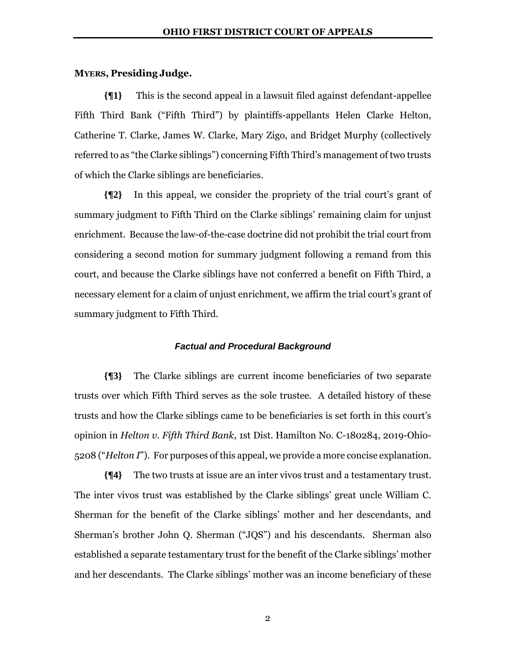## **MYERS, Presiding Judge.**

**{¶1}** This is the second appeal in a lawsuit filed against defendant-appellee Fifth Third Bank ("Fifth Third") by plaintiffs-appellants Helen Clarke Helton, Catherine T. Clarke, James W. Clarke, Mary Zigo, and Bridget Murphy (collectively referred to as "the Clarke siblings") concerning Fifth Third's management of two trusts of which the Clarke siblings are beneficiaries.

**{¶2}** In this appeal, we consider the propriety of the trial court's grant of summary judgment to Fifth Third on the Clarke siblings' remaining claim for unjust enrichment. Because the law-of-the-case doctrine did not prohibit the trial court from considering a second motion for summary judgment following a remand from this court, and because the Clarke siblings have not conferred a benefit on Fifth Third, a necessary element for a claim of unjust enrichment, we affirm the trial court's grant of summary judgment to Fifth Third.

## *Factual and Procedural Background*

**{¶3}** The Clarke siblings are current income beneficiaries of two separate trusts over which Fifth Third serves as the sole trustee. A detailed history of these trusts and how the Clarke siblings came to be beneficiaries is set forth in this court's opinion in *Helton v. Fifth Third Bank*, 1st Dist. Hamilton No. C-180284, 2019-Ohio-5208 ("*Helton I*"). For purposes of this appeal, we provide a more concise explanation.

**{¶4}** The two trusts at issue are an inter vivos trust and a testamentary trust. The inter vivos trust was established by the Clarke siblings' great uncle William C. Sherman for the benefit of the Clarke siblings' mother and her descendants, and Sherman's brother John Q. Sherman ("JQS") and his descendants. Sherman also established a separate testamentary trust for the benefit of the Clarke siblings' mother and her descendants. The Clarke siblings' mother was an income beneficiary of these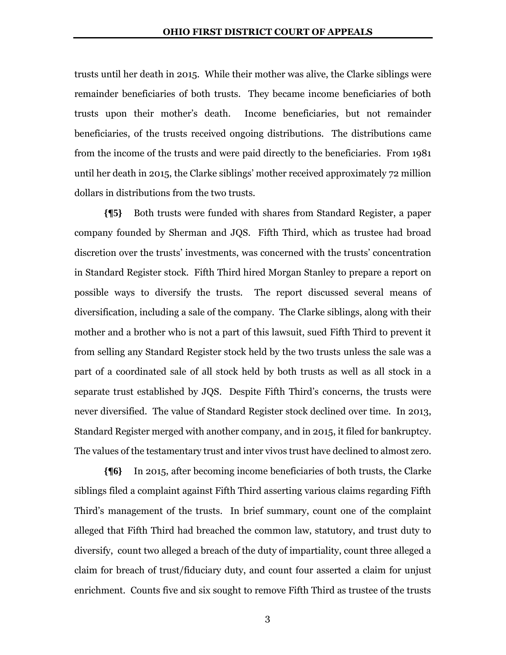trusts until her death in 2015. While their mother was alive, the Clarke siblings were remainder beneficiaries of both trusts. They became income beneficiaries of both trusts upon their mother's death. Income beneficiaries, but not remainder beneficiaries, of the trusts received ongoing distributions. The distributions came from the income of the trusts and were paid directly to the beneficiaries. From 1981 until her death in 2015, the Clarke siblings' mother received approximately 72 million dollars in distributions from the two trusts.

**{¶5}** Both trusts were funded with shares from Standard Register, a paper company founded by Sherman and JQS. Fifth Third, which as trustee had broad discretion over the trusts' investments, was concerned with the trusts' concentration in Standard Register stock. Fifth Third hired Morgan Stanley to prepare a report on possible ways to diversify the trusts. The report discussed several means of diversification, including a sale of the company. The Clarke siblings, along with their mother and a brother who is not a part of this lawsuit, sued Fifth Third to prevent it from selling any Standard Register stock held by the two trusts unless the sale was a part of a coordinated sale of all stock held by both trusts as well as all stock in a separate trust established by JQS. Despite Fifth Third's concerns, the trusts were never diversified. The value of Standard Register stock declined over time. In 2013, Standard Register merged with another company, and in 2015, it filed for bankruptcy. The values of the testamentary trust and inter vivos trust have declined to almost zero.

**{¶6}** In 2015, after becoming income beneficiaries of both trusts, the Clarke siblings filed a complaint against Fifth Third asserting various claims regarding Fifth Third's management of the trusts. In brief summary, count one of the complaint alleged that Fifth Third had breached the common law, statutory, and trust duty to diversify, count two alleged a breach of the duty of impartiality, count three alleged a claim for breach of trust/fiduciary duty, and count four asserted a claim for unjust enrichment. Counts five and six sought to remove Fifth Third as trustee of the trusts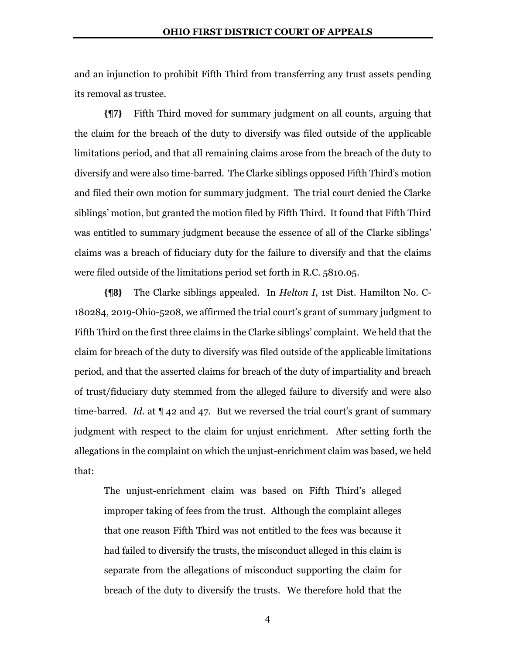and an injunction to prohibit Fifth Third from transferring any trust assets pending its removal as trustee.

**{¶7}** Fifth Third moved for summary judgment on all counts, arguing that the claim for the breach of the duty to diversify was filed outside of the applicable limitations period, and that all remaining claims arose from the breach of the duty to diversify and were also time-barred. The Clarke siblings opposed Fifth Third's motion and filed their own motion for summary judgment. The trial court denied the Clarke siblings' motion, but granted the motion filed by Fifth Third. It found that Fifth Third was entitled to summary judgment because the essence of all of the Clarke siblings' claims was a breach of fiduciary duty for the failure to diversify and that the claims were filed outside of the limitations period set forth in R.C. 5810.05.

**{¶8}** The Clarke siblings appealed. In *Helton I*, 1st Dist. Hamilton No. C-180284, 2019-Ohio-5208, we affirmed the trial court's grant of summary judgment to Fifth Third on the first three claims in the Clarke siblings' complaint. We held that the claim for breach of the duty to diversify was filed outside of the applicable limitations period, and that the asserted claims for breach of the duty of impartiality and breach of trust/fiduciary duty stemmed from the alleged failure to diversify and were also time-barred. *Id.* at ¶ 42 and 47. But we reversed the trial court's grant of summary judgment with respect to the claim for unjust enrichment. After setting forth the allegations in the complaint on which the unjust-enrichment claim was based, we held that:

The unjust-enrichment claim was based on Fifth Third's alleged improper taking of fees from the trust. Although the complaint alleges that one reason Fifth Third was not entitled to the fees was because it had failed to diversify the trusts, the misconduct alleged in this claim is separate from the allegations of misconduct supporting the claim for breach of the duty to diversify the trusts. We therefore hold that the

4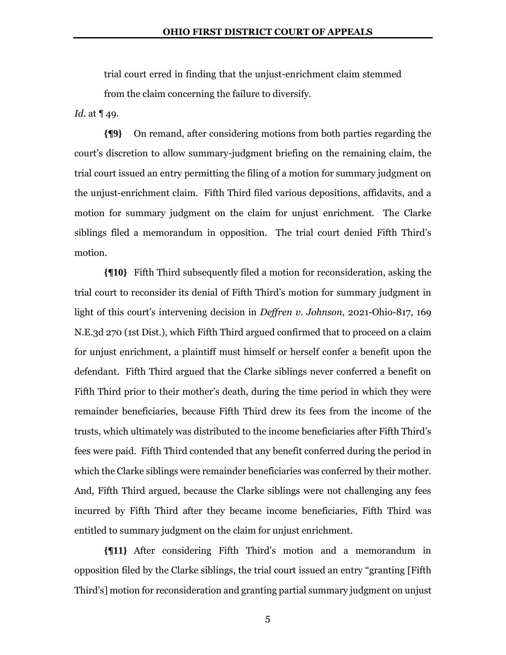trial court erred in finding that the unjust-enrichment claim stemmed from the claim concerning the failure to diversify.

*Id.* at ¶ 49.

**{¶9}** On remand, after considering motions from both parties regarding the court's discretion to allow summary-judgment briefing on the remaining claim, the trial court issued an entry permitting the filing of a motion for summary judgment on the unjust-enrichment claim. Fifth Third filed various depositions, affidavits, and a motion for summary judgment on the claim for unjust enrichment. The Clarke siblings filed a memorandum in opposition. The trial court denied Fifth Third's motion.

**{¶10}** Fifth Third subsequently filed a motion for reconsideration, asking the trial court to reconsider its denial of Fifth Third's motion for summary judgment in light of this court's intervening decision in *Deffren v. Johnson*, 2021-Ohio-817, 169 N.E.3d 270 (1st Dist.), which Fifth Third argued confirmed that to proceed on a claim for unjust enrichment, a plaintiff must himself or herself confer a benefit upon the defendant. Fifth Third argued that the Clarke siblings never conferred a benefit on Fifth Third prior to their mother's death, during the time period in which they were remainder beneficiaries, because Fifth Third drew its fees from the income of the trusts, which ultimately was distributed to the income beneficiaries after Fifth Third's fees were paid. Fifth Third contended that any benefit conferred during the period in which the Clarke siblings were remainder beneficiaries was conferred by their mother. And, Fifth Third argued, because the Clarke siblings were not challenging any fees incurred by Fifth Third after they became income beneficiaries, Fifth Third was entitled to summary judgment on the claim for unjust enrichment.

**{¶11}** After considering Fifth Third's motion and a memorandum in opposition filed by the Clarke siblings, the trial court issued an entry "granting [Fifth Third's] motion for reconsideration and granting partial summary judgment on unjust

5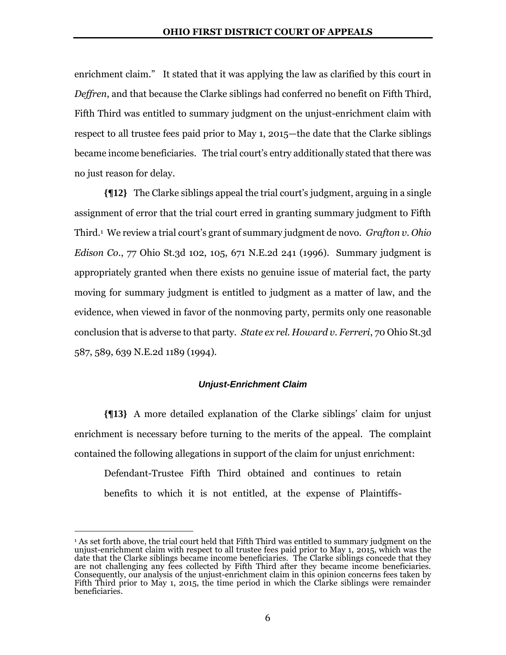enrichment claim." It stated that it was applying the law as clarified by this court in *Deffren*, and that because the Clarke siblings had conferred no benefit on Fifth Third, Fifth Third was entitled to summary judgment on the unjust-enrichment claim with respect to all trustee fees paid prior to May 1, 2015—the date that the Clarke siblings became income beneficiaries. The trial court's entry additionally stated that there was no just reason for delay.

**{¶12}** The Clarke siblings appeal the trial court's judgment, arguing in a single assignment of error that the trial court erred in granting summary judgment to Fifth Third.<sup>1</sup> We review a trial court's grant of summary judgment de novo. *Grafton v. Ohio Edison Co.*, 77 Ohio St.3d 102, 105, 671 N.E.2d 241 (1996). Summary judgment is appropriately granted when there exists no genuine issue of material fact, the party moving for summary judgment is entitled to judgment as a matter of law, and the evidence, when viewed in favor of the nonmoving party, permits only one reasonable conclusion that is adverse to that party. *State ex rel. Howard v. Ferreri*, 70 Ohio St.3d 587, 589, 639 N.E.2d 1189 (1994).

## *Unjust-Enrichment Claim*

**{¶13}** A more detailed explanation of the Clarke siblings' claim for unjust enrichment is necessary before turning to the merits of the appeal. The complaint contained the following allegations in support of the claim for unjust enrichment:

Defendant-Trustee Fifth Third obtained and continues to retain benefits to which it is not entitled, at the expense of Plaintiffs-

<sup>&</sup>lt;sup>1</sup> As set forth above, the trial court held that Fifth Third was entitled to summary judgment on the unjust-enrichment claim with respect to all trustee fees paid prior to May 1, 2015, which was the date that the Clarke siblings became income beneficiaries. The Clarke siblings concede that they are not challenging any fees collected by Fifth Third after they became income beneficiaries. Consequently, our analysis of the unjust-enrichment claim in this opinion concerns fees taken by Fifth Third prior to May 1, 2015, the time period in which the Clarke siblings were remainder beneficiaries.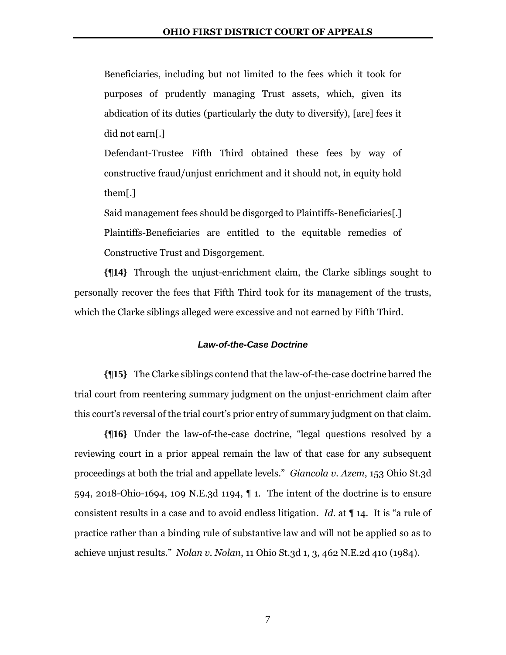Beneficiaries, including but not limited to the fees which it took for purposes of prudently managing Trust assets, which, given its abdication of its duties (particularly the duty to diversify), [are] fees it did not earn[.]

Defendant-Trustee Fifth Third obtained these fees by way of constructive fraud/unjust enrichment and it should not, in equity hold them[.]

Said management fees should be disgorged to Plaintiffs-Beneficiaries[.] Plaintiffs-Beneficiaries are entitled to the equitable remedies of Constructive Trust and Disgorgement.

**{¶14}** Through the unjust-enrichment claim, the Clarke siblings sought to personally recover the fees that Fifth Third took for its management of the trusts, which the Clarke siblings alleged were excessive and not earned by Fifth Third.

## *Law-of-the-Case Doctrine*

**{¶15}** The Clarke siblings contend that the law-of-the-case doctrine barred the trial court from reentering summary judgment on the unjust-enrichment claim after this court's reversal of the trial court's prior entry of summary judgment on that claim.

**{¶16}** Under the law-of-the-case doctrine, "legal questions resolved by a reviewing court in a prior appeal remain the law of that case for any subsequent proceedings at both the trial and appellate levels." *Giancola v. Azem*, 153 Ohio St.3d 594, 2018-Ohio-1694, 109 N.E.3d 1194, ¶ 1. The intent of the doctrine is to ensure consistent results in a case and to avoid endless litigation. *Id.* at ¶ 14. It is "a rule of practice rather than a binding rule of substantive law and will not be applied so as to achieve unjust results." *Nolan v. Nolan*, 11 Ohio St.3d 1, 3, 462 N.E.2d 410 (1984).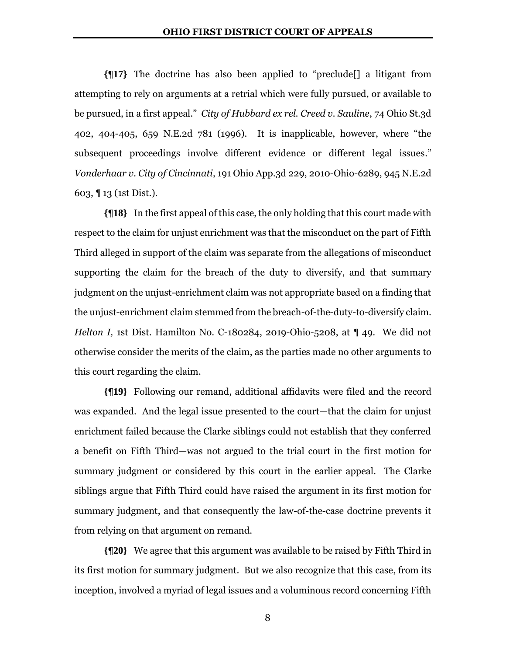**{¶17}** The doctrine has also been applied to "preclude[] a litigant from attempting to rely on arguments at a retrial which were fully pursued, or available to be pursued, in a first appeal." *City of Hubbard ex rel. Creed v. Sauline*, 74 Ohio St.3d 402, 404-405, 659 N.E.2d 781 (1996). It is inapplicable, however, where "the subsequent proceedings involve different evidence or different legal issues." *Vonderhaar v. City of Cincinnati*, 191 Ohio App.3d 229, 2010-Ohio-6289, 945 N.E.2d 603, ¶ 13 (1st Dist.).

**{¶18}** In the first appeal of this case, the only holding that this court made with respect to the claim for unjust enrichment was that the misconduct on the part of Fifth Third alleged in support of the claim was separate from the allegations of misconduct supporting the claim for the breach of the duty to diversify, and that summary judgment on the unjust-enrichment claim was not appropriate based on a finding that the unjust-enrichment claim stemmed from the breach-of-the-duty-to-diversify claim. *Helton I,* 1st Dist. Hamilton No. C-180284, 2019-Ohio-5208, at ¶ 49. We did not otherwise consider the merits of the claim, as the parties made no other arguments to this court regarding the claim.

**{¶19}** Following our remand, additional affidavits were filed and the record was expanded. And the legal issue presented to the court—that the claim for unjust enrichment failed because the Clarke siblings could not establish that they conferred a benefit on Fifth Third—was not argued to the trial court in the first motion for summary judgment or considered by this court in the earlier appeal. The Clarke siblings argue that Fifth Third could have raised the argument in its first motion for summary judgment, and that consequently the law-of-the-case doctrine prevents it from relying on that argument on remand.

**{¶20}** We agree that this argument was available to be raised by Fifth Third in its first motion for summary judgment. But we also recognize that this case, from its inception, involved a myriad of legal issues and a voluminous record concerning Fifth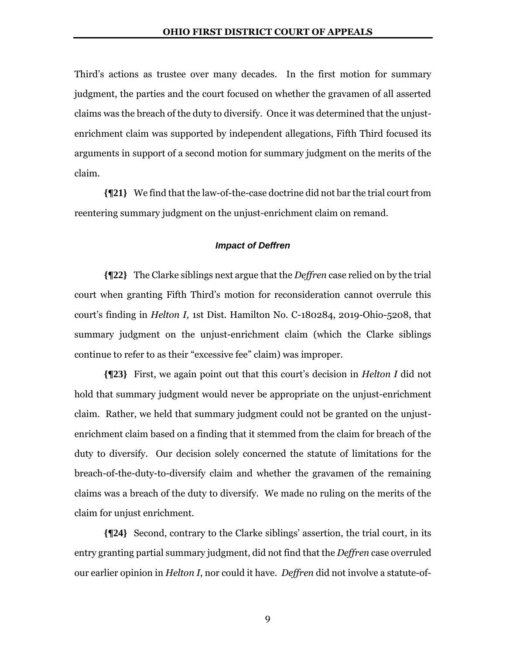Third's actions as trustee over many decades. In the first motion for summary judgment, the parties and the court focused on whether the gravamen of all asserted claims was the breach of the duty to diversify. Once it was determined that the unjustenrichment claim was supported by independent allegations, Fifth Third focused its arguments in support of a second motion for summary judgment on the merits of the claim.

**{¶21}** We find that the law-of-the-case doctrine did not bar the trial court from reentering summary judgment on the unjust-enrichment claim on remand.

## *Impact of Deffren*

**{¶22}** The Clarke siblings next argue that the *Deffren* case relied on by the trial court when granting Fifth Third's motion for reconsideration cannot overrule this court's finding in *Helton I,* 1st Dist. Hamilton No. C-180284, 2019-Ohio-5208, that summary judgment on the unjust-enrichment claim (which the Clarke siblings continue to refer to as their "excessive fee" claim) was improper.

**{¶23}** First, we again point out that this court's decision in *Helton I* did not hold that summary judgment would never be appropriate on the unjust-enrichment claim. Rather, we held that summary judgment could not be granted on the unjustenrichment claim based on a finding that it stemmed from the claim for breach of the duty to diversify. Our decision solely concerned the statute of limitations for the breach-of-the-duty-to-diversify claim and whether the gravamen of the remaining claims was a breach of the duty to diversify. We made no ruling on the merits of the claim for unjust enrichment.

**{¶24}** Second, contrary to the Clarke siblings' assertion, the trial court, in its entry granting partial summary judgment, did not find that the *Deffren* case overruled our earlier opinion in *Helton I*, nor could it have. *Deffren* did not involve a statute-of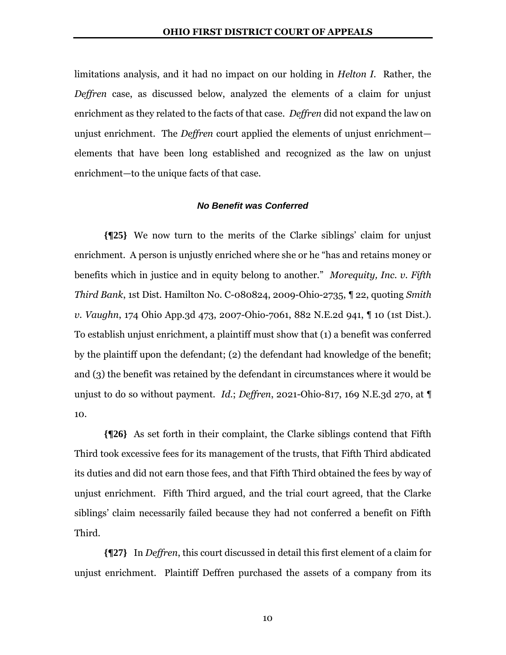limitations analysis, and it had no impact on our holding in *Helton I*. Rather, the *Deffren* case, as discussed below, analyzed the elements of a claim for unjust enrichment as they related to the facts of that case. *Deffren* did not expand the law on unjust enrichment. The *Deffren* court applied the elements of unjust enrichment elements that have been long established and recognized as the law on unjust enrichment—to the unique facts of that case.

#### *No Benefit was Conferred*

**{¶25}** We now turn to the merits of the Clarke siblings' claim for unjust enrichment. A person is unjustly enriched where she or he "has and retains money or benefits which in justice and in equity belong to another." *Morequity, Inc. v. Fifth Third Bank*, 1st Dist. Hamilton No. C-080824, 2009-Ohio-2735, ¶ 22, quoting *Smith v. Vaughn*, 174 Ohio App.3d 473, 2007-Ohio-7061, 882 N.E.2d 941, ¶ 10 (1st Dist.). To establish unjust enrichment, a plaintiff must show that (1) a benefit was conferred by the plaintiff upon the defendant; (2) the defendant had knowledge of the benefit; and (3) the benefit was retained by the defendant in circumstances where it would be unjust to do so without payment. *Id.*; *Deffren*, 2021-Ohio-817, 169 N.E.3d 270, at ¶ 10.

**{¶26}** As set forth in their complaint, the Clarke siblings contend that Fifth Third took excessive fees for its management of the trusts, that Fifth Third abdicated its duties and did not earn those fees, and that Fifth Third obtained the fees by way of unjust enrichment. Fifth Third argued, and the trial court agreed, that the Clarke siblings' claim necessarily failed because they had not conferred a benefit on Fifth Third.

**{¶27}** In *Deffren*, this court discussed in detail this first element of a claim for unjust enrichment. Plaintiff Deffren purchased the assets of a company from its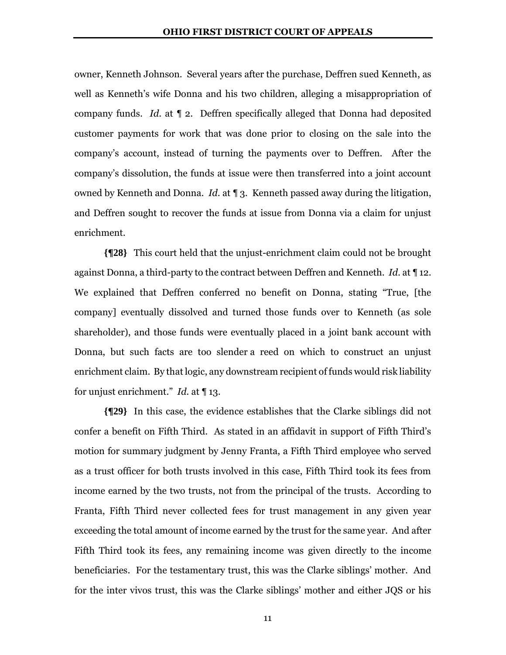owner, Kenneth Johnson. Several years after the purchase, Deffren sued Kenneth, as well as Kenneth's wife Donna and his two children, alleging a misappropriation of company funds. *Id*. at ¶ 2. Deffren specifically alleged that Donna had deposited customer payments for work that was done prior to closing on the sale into the company's account, instead of turning the payments over to Deffren. After the company's dissolution, the funds at issue were then transferred into a joint account owned by Kenneth and Donna. *Id*. at ¶ 3. Kenneth passed away during the litigation, and Deffren sought to recover the funds at issue from Donna via a claim for unjust enrichment.

**{¶28}** This court held that the unjust-enrichment claim could not be brought against Donna, a third-party to the contract between Deffren and Kenneth. *Id*. at ¶ 12. We explained that Deffren conferred no benefit on Donna, stating "True, [the company] eventually dissolved and turned those funds over to Kenneth (as sole shareholder), and those funds were eventually placed in a joint bank account with Donna, but such facts are too slender a reed on which to construct an unjust enrichment claim. By that logic, any downstream recipient of funds would risk liability for unjust enrichment." *Id.* at ¶ 13.

**{¶29}** In this case, the evidence establishes that the Clarke siblings did not confer a benefit on Fifth Third. As stated in an affidavit in support of Fifth Third's motion for summary judgment by Jenny Franta, a Fifth Third employee who served as a trust officer for both trusts involved in this case, Fifth Third took its fees from income earned by the two trusts, not from the principal of the trusts. According to Franta, Fifth Third never collected fees for trust management in any given year exceeding the total amount of income earned by the trust for the same year. And after Fifth Third took its fees, any remaining income was given directly to the income beneficiaries. For the testamentary trust, this was the Clarke siblings' mother. And for the inter vivos trust, this was the Clarke siblings' mother and either JQS or his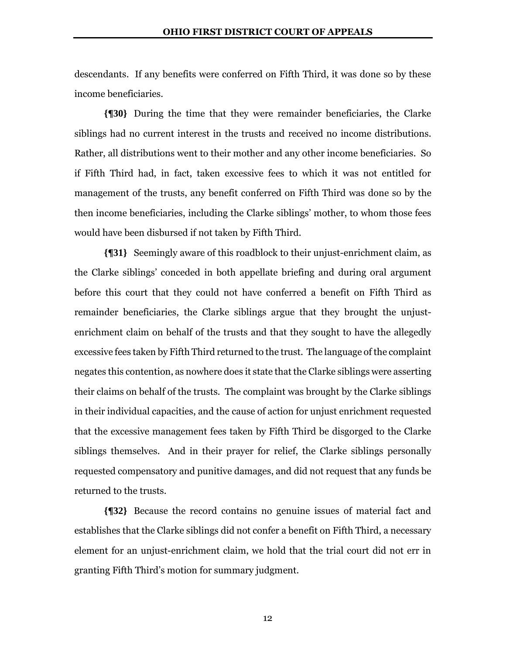descendants. If any benefits were conferred on Fifth Third, it was done so by these income beneficiaries.

**{¶30}** During the time that they were remainder beneficiaries, the Clarke siblings had no current interest in the trusts and received no income distributions. Rather, all distributions went to their mother and any other income beneficiaries. So if Fifth Third had, in fact, taken excessive fees to which it was not entitled for management of the trusts, any benefit conferred on Fifth Third was done so by the then income beneficiaries, including the Clarke siblings' mother, to whom those fees would have been disbursed if not taken by Fifth Third.

**{¶31}** Seemingly aware of this roadblock to their unjust-enrichment claim, as the Clarke siblings' conceded in both appellate briefing and during oral argument before this court that they could not have conferred a benefit on Fifth Third as remainder beneficiaries, the Clarke siblings argue that they brought the unjustenrichment claim on behalf of the trusts and that they sought to have the allegedly excessive fees taken by Fifth Third returned to the trust. The language of the complaint negates this contention, as nowhere does it state that the Clarke siblings were asserting their claims on behalf of the trusts. The complaint was brought by the Clarke siblings in their individual capacities, and the cause of action for unjust enrichment requested that the excessive management fees taken by Fifth Third be disgorged to the Clarke siblings themselves. And in their prayer for relief, the Clarke siblings personally requested compensatory and punitive damages, and did not request that any funds be returned to the trusts.

**{¶32}** Because the record contains no genuine issues of material fact and establishes that the Clarke siblings did not confer a benefit on Fifth Third, a necessary element for an unjust-enrichment claim, we hold that the trial court did not err in granting Fifth Third's motion for summary judgment.

12